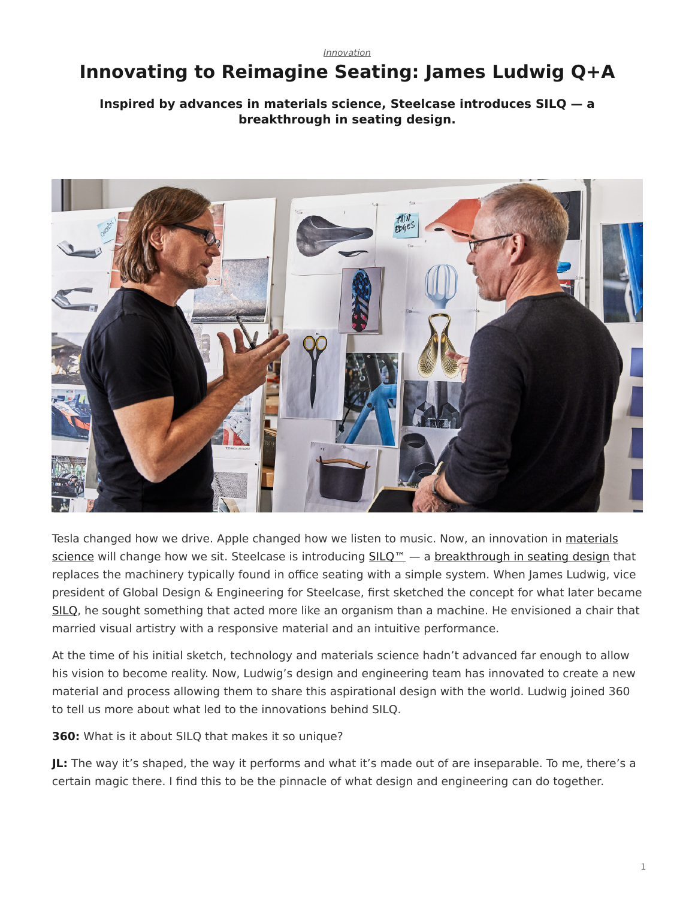*[Innovation](https://www.steelcase.com/research/topics/innovation/)*

## <span id="page-0-0"></span>**Innovating to Reimagine Seating: James Ludwig Q+A**

## **Inspired by advances in materials science, Steelcase introduces SILQ — a breakthrough in seating design.**



Tesla changed how we drive. Apple changed how we listen to music. Now, an innovation in [materials](https://www.steelcase.com/resources/surface-materials/) [science](https://www.steelcase.com/resources/surface-materials/) will change how we sit. Steelcase is introducing [SILQ™](https://www.steelcase.com/products/office-chairs/silq/) — a [breakthrough in seating design](https://www.steelcase.com/research/topics/custom-design/) that replaces the machinery typically found in office seating with a simple system. When James Ludwig, vice president of Global Design & Engineering for Steelcase, first sketched the concept for what later became [SILQ](https://info.steelcase.com/silq-steelcase?utm_source=dotcom&utm_medium=blog-post&utm_campaign=silq&utm_content=silq-lander), he sought something that acted more like an organism than a machine. He envisioned a chair that married visual artistry with a responsive material and an intuitive performance.

At the time of his initial sketch, technology and materials science hadn't advanced far enough to allow his vision to become reality. Now, Ludwig's design and engineering team has innovated to create a new material and process allowing them to share this aspirational design with the world. Ludwig joined 360 to tell us more about what led to the innovations behind SILQ.

**360:** What is it about SILQ that makes it so unique?

**JL:** The way it's shaped, the way it performs and what it's made out of are inseparable. To me, there's a certain magic there. I find this to be the pinnacle of what design and engineering can do together.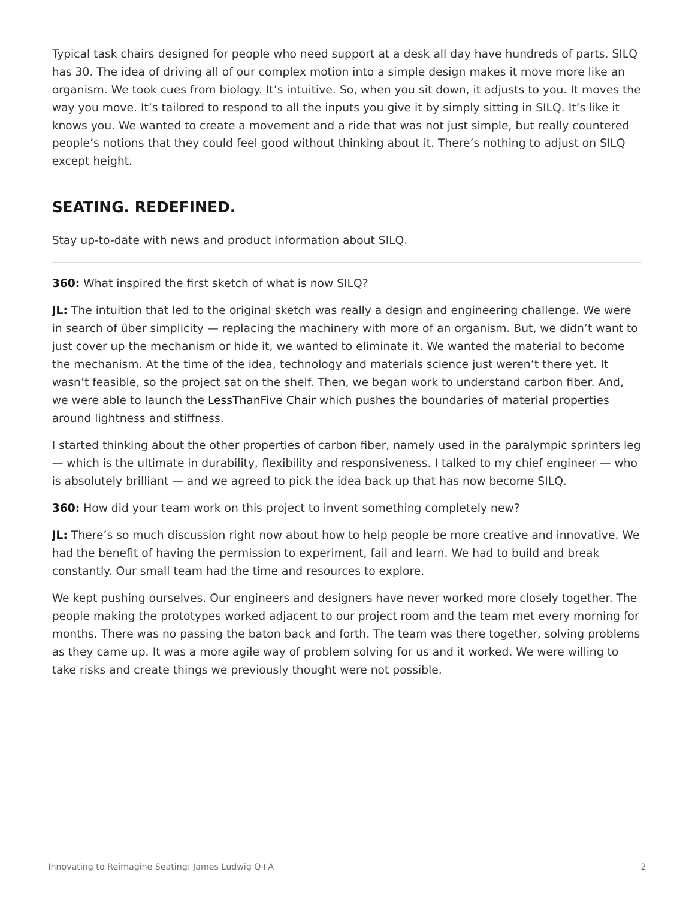Typical task chairs designed for people who need support at a desk all day have hundreds of parts. SILQ has 30. The idea of driving all of our complex motion into a simple design makes it move more like an organism. We took cues from biology. It's intuitive. So, when you sit down, it adjusts to you. It moves the way you move. It's tailored to respond to all the inputs you give it by simply sitting in SILQ. It's like it knows you. We wanted to create a movement and a ride that was not just simple, but really countered people's notions that they could feel good without thinking about it. There's nothing to adjust on SILQ except height.

## **SEATING. REDEFINED.**

Stay up-to-date with news and product information about SILQ.

**360:** What inspired the first sketch of what is now SILQ?

**JL:** The intuition that led to the original sketch was really a design and engineering challenge. We were in search of über simplicity — replacing the machinery with more of an organism. But, we didn't want to just cover up the mechanism or hide it, we wanted to eliminate it. We wanted the material to become the mechanism. At the time of the idea, technology and materials science just weren't there yet. It wasn't feasible, so the project sat on the shelf. Then, we began work to understand carbon fiber. And, we were able to launch the [LessThanFive Chair](https://www.steelcase.com/products/side-guest-chairs/lessthanfive-chair/) which pushes the boundaries of material properties around lightness and stiffness.

I started thinking about the other properties of carbon fiber, namely used in the paralympic sprinters leg — which is the ultimate in durability, flexibility and responsiveness. I talked to my chief engineer — who is absolutely brilliant — and we agreed to pick the idea back up that has now become SILQ.

**360:** How did your team work on this project to invent something completely new?

**JL:** There's so much discussion right now about how to help people be more creative and innovative. We had the benefit of having the permission to experiment, fail and learn. We had to build and break constantly. Our small team had the time and resources to explore.

We kept pushing ourselves. Our engineers and designers have never worked more closely together. The people making the prototypes worked adjacent to our project room and the team met every morning for months. There was no passing the baton back and forth. The team was there together, solving problems as they came up. It was a more agile way of problem solving for us and it worked. We were willing to take risks and create things we previously thought were not possible.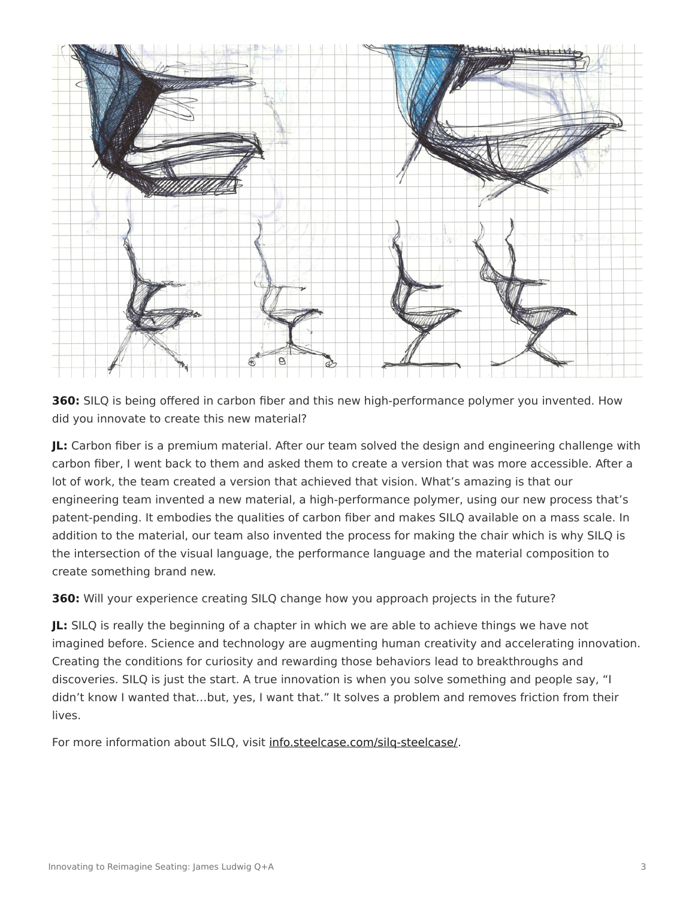

**360:** SILQ is being offered in carbon fiber and this new high-performance polymer you invented. How did you innovate to create this new material?

**JL:** Carbon fiber is a premium material. After our team solved the design and engineering challenge with carbon fiber, I went back to them and asked them to create a version that was more accessible. After a lot of work, the team created a version that achieved that vision. What's amazing is that our engineering team invented a new material, a high-performance polymer, using our new process that's patent-pending. It embodies the qualities of carbon fiber and makes SILQ available on a mass scale. In addition to the material, our team also invented the process for making the chair which is why SILQ is the intersection of the visual language, the performance language and the material composition to create something brand new.

**360:** Will your experience creating SILQ change how you approach projects in the future?

**JL:** SILQ is really the beginning of a chapter in which we are able to achieve things we have not imagined before. Science and technology are augmenting human creativity and accelerating innovation. Creating the conditions for curiosity and rewarding those behaviors lead to breakthroughs and discoveries. SILQ is just the start. A true innovation is when you solve something and people say, "I didn't know I wanted that…but, yes, I want that." It solves a problem and removes friction from their lives.

For more information about SILQ, visit [info.steelcase.com/silq-steelcase/](https://info.steelcase.com/silq-steelcase?utm_source=dotcom&utm_medium=blog-post&utm_campaign=silq&utm_content=silq-lander).